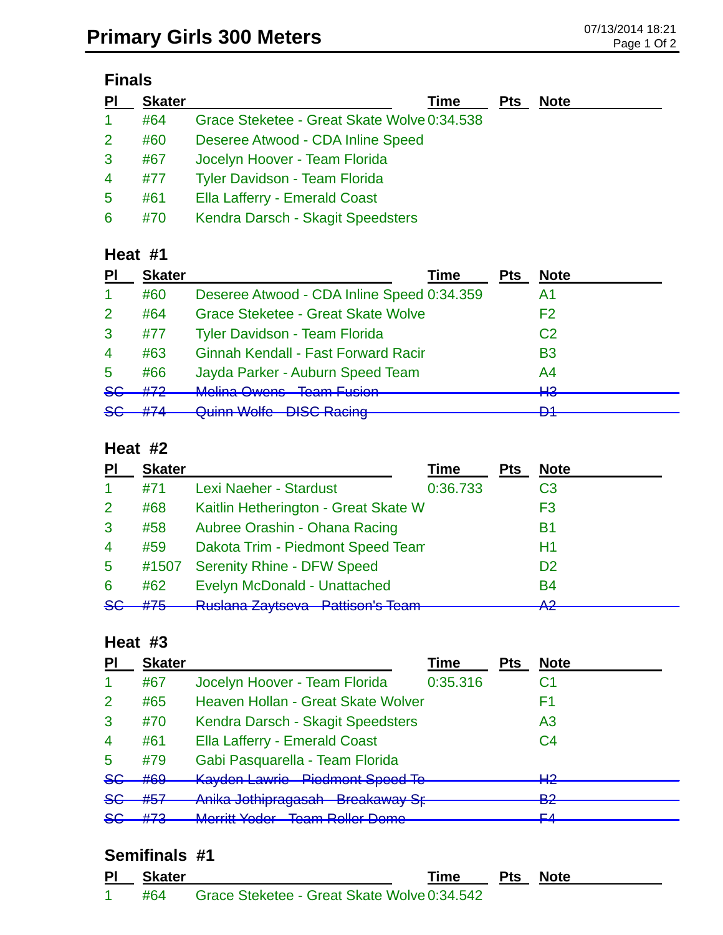## **Finals**

| PI             | <b>Skater</b> | <b>Time</b>                                 | <b>Pts</b> | <b>Note</b> |
|----------------|---------------|---------------------------------------------|------------|-------------|
| -1             | #64           | Grace Steketee - Great Skate Wolve 0:34.538 |            |             |
| $\overline{2}$ | #60           | Deseree Atwood - CDA Inline Speed           |            |             |
| 3              | #67           | Jocelyn Hoover - Team Florida               |            |             |
| $\overline{4}$ | #77           | <b>Tyler Davidson - Team Florida</b>        |            |             |
| 5              | #61           | Ella Lafferry - Emerald Coast               |            |             |
| 6              | #70           | Kendra Darsch - Skagit Speedsters           |            |             |

#### **Heat #1**

| PI                   | <b>Skater</b> | Time                                       | Pts | <b>Note</b>    |
|----------------------|---------------|--------------------------------------------|-----|----------------|
| $\blacktriangleleft$ | #60           | Deseree Atwood - CDA Inline Speed 0:34.359 |     | A1             |
| $\mathcal{P}$        | #64           | <b>Grace Steketee - Great Skate Wolve</b>  |     | F2             |
| 3                    | #77           | <b>Tyler Davidson - Team Florida</b>       |     | C <sub>2</sub> |
| $\overline{4}$       | #63           | <b>Ginnah Kendall - Fast Forward Racir</b> |     | <b>B3</b>      |
| 5                    | #66           | Jayda Parker - Auburn Speed Team           |     | A4             |
| 86                   | #72           | Molina Owane Toam Eucion                   |     | ப்<br>πо       |
| $86$                 | H Z A         | Quinn Walte DISC Poping                    |     | D1.            |
|                      |               | <b>WUILD VYUILD</b><br><b>DIOO Raoing</b>  |     | ▱              |

#### **Heat #2**

| <b>PI</b>       | <b>Skater</b> |                                                                      | Time     | Pts | <b>Note</b>    |
|-----------------|---------------|----------------------------------------------------------------------|----------|-----|----------------|
| 1               | #71           | <b>Lexi Naeher - Stardust</b>                                        | 0:36.733 |     | C <sub>3</sub> |
| $\overline{2}$  | #68           | Kaitlin Hetherington - Great Skate W                                 |          |     | F3             |
| 3               | #58           | Aubree Orashin - Ohana Racing                                        |          |     | <b>B1</b>      |
| $\overline{4}$  | #59           | Dakota Trim - Piedmont Speed Team                                    |          |     | Η1             |
| $5\phantom{.0}$ | #1507         | <b>Serenity Rhine - DFW Speed</b>                                    |          |     | D <sub>2</sub> |
| 6               | #62           | Evelyn McDonald - Unattached                                         |          |     | <b>B4</b>      |
| 86              | #75           | <b>Duclara Zavteova Datticople Toam</b><br>πτυσιαπα <i>Δ</i> αγιδονα |          |     | Λ0.<br>ТŒ      |

#### **Heat #3**

| PI             | <b>Skater</b> |                                                                             | <b>Time</b> | <b>Pts</b> | <b>Note</b>    |
|----------------|---------------|-----------------------------------------------------------------------------|-------------|------------|----------------|
| -1             | #67           | Jocelyn Hoover - Team Florida                                               | 0:35.316    |            | С1             |
| $\overline{2}$ | #65           | Heaven Hollan - Great Skate Wolver                                          |             |            | F1             |
| 3              | #70           | Kendra Darsch - Skagit Speedsters                                           |             |            | A <sub>3</sub> |
| $\overline{4}$ | #61           | Ella Lafferry - Emerald Coast                                               |             |            | C <sub>4</sub> |
| 5              | #79           | Gabi Pasquarella - Team Florida                                             |             |            |                |
| 8 <sub>G</sub> | #69           | <b>Kayden Lawrie - Piedmont Speed Te</b>                                    |             |            | ⊔റ<br>┳        |
| $5$            | #57           | Anika Jothipragasah - Breakaway Sr-                                         |             |            | ∩ם<br>-75      |
| 8 <sub>G</sub> | H72<br>11 I J | Morritt Vodor - Toam Pollor Domo<br><b>MUTHE TUUT</b><br>טוווטע וטווטודוווט |             |            | EЛ             |

#### **Semifinals #1**

| PI | Skater | <b>Time</b>                                     | <b>Pts</b> Note |
|----|--------|-------------------------------------------------|-----------------|
|    |        | #64 Grace Steketee - Great Skate Wolve 0:34.542 |                 |